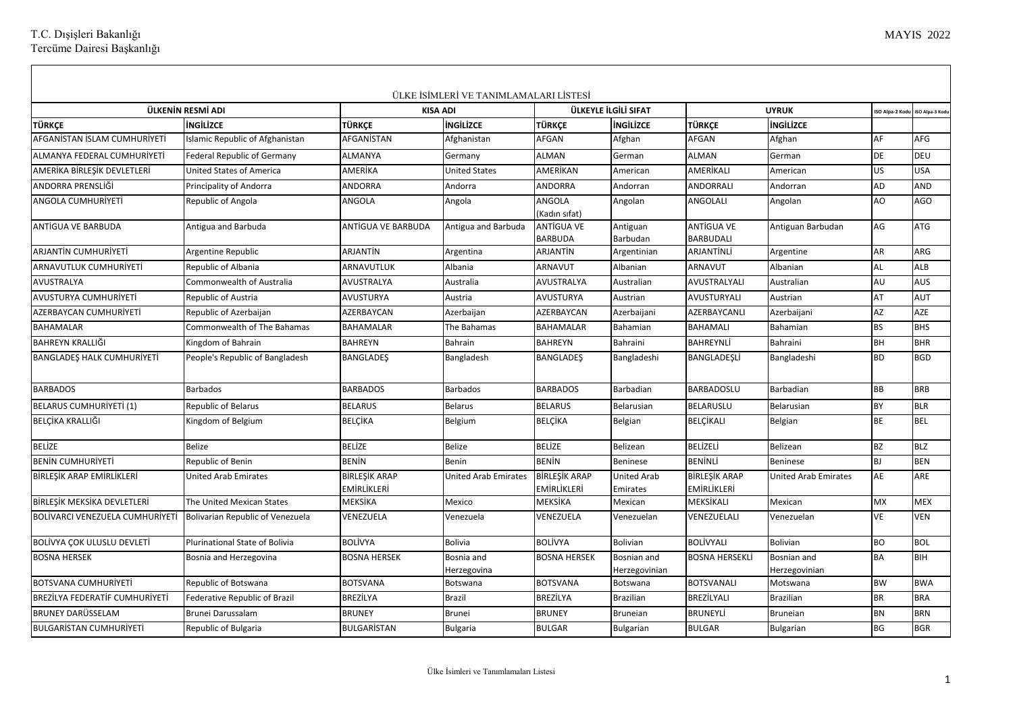T.C. Dışişleri Bakanlığı Tercüme Dairesi Başkanlığı

|                                       |                                    |                                     | ÜLKE İSİMLERİ VE TANIMLAMALARI LİSTESİ |                                            |                                |                                     |                              |               |                |
|---------------------------------------|------------------------------------|-------------------------------------|----------------------------------------|--------------------------------------------|--------------------------------|-------------------------------------|------------------------------|---------------|----------------|
|                                       | ÜLKENİN RESMİ ADI                  |                                     | <b>KISA ADI</b>                        | ÜLKEYLE İLGİLİ SIFAT                       |                                |                                     | <b>UYRUK</b>                 | SO Alpa-2 Kod | ISO Alpa-3 Kod |
| <b>TÜRKCE</b>                         | <b>INGILIZCE</b>                   | <b>TÜRKÇE</b>                       | ingilizce                              | TÜRKCE                                     | <b>INGILIZCE</b>               | TÜRKCE                              | <b>ingilizce</b>             |               |                |
| AFGANISTAN ISLAM CUMHURIYETI          | Islamic Republic of Afghanistan    | AFGANİSTAN                          | Afghanistan                            | AFGAN                                      | Afghan                         | AFGAN                               | Afghan                       | AF            | <b>AFG</b>     |
| ALMANYA FEDERAL CUMHURİYETİ           | <b>Federal Republic of Germany</b> | <b>ALMANYA</b>                      | Germany                                | <b>ALMAN</b>                               | German                         | <b>ALMAN</b>                        | German                       | DE            | DEU            |
| AMERİKA BİRLEŞİK DEVLETLERİ           | <b>United States of America</b>    | AMERİKA                             | <b>United States</b>                   | AMERİKAN                                   | American                       | AMERİKALI                           | American                     | US.           | <b>USA</b>     |
| ANDORRA PRENSLİĞİ                     | Principality of Andorra            | <b>ANDORRA</b>                      | Andorra                                | ANDORRA                                    | Andorran                       | ANDORRALI                           | Andorran                     | AD            | <b>AND</b>     |
| <b>ANGOLA CUMHURIYETİ</b>             | Republic of Angola                 | <b>ANGOLA</b>                       | Angola                                 | ANGOLA<br>(Kadın sıfat)                    | Angolan                        | ANGOLALI                            | Angolan                      | AO            | AGO            |
| ANTIGUA VE BARBUDA                    | Antigua and Barbuda                | ANTIGUA VE BARBUDA                  | Antigua and Barbuda                    | ANTIGUA VE<br><b>BARBUDA</b>               | Antiguan<br>Barbudan           | ANTİGUA VE<br><b>BARBUDALI</b>      | Antiguan Barbudan            | AG            | <b>ATG</b>     |
| ARJANTİN CUMHURİYETİ                  | Argentine Republic                 | ARJANTIN                            | Argentina                              | ARJANTİN                                   | Argentinian                    | ARJANTİNLİ                          | Argentine                    | AR            | ARG            |
| <b>ARNAVUTLUK CUMHURİYETİ</b>         | Republic of Albania                | <b>ARNAVUTLUK</b>                   | Albania                                | ARNAVUT                                    | Albanian                       | ARNAVUT                             | Albanian                     | <b>AL</b>     | ALB            |
| <b>AVUSTRALYA</b>                     | Commonwealth of Australia          | AVUSTRALYA                          | Australia                              | AVUSTRALYA                                 | Australian                     | AVUSTRALYALI                        | Australian                   | AU            | AUS            |
| AVUSTURYA CUMHURİYETİ                 | Republic of Austria                | AVUSTURYA                           | Austria                                | <b>AVUSTURYA</b>                           | Austrian                       | AVUSTURYALI                         | Austrian                     | AT            | AUT            |
| AZERBAYCAN CUMHURİYETİ                | Republic of Azerbaijan             | AZERBAYCAN                          | Azerbaijan                             | AZERBAYCAN                                 | Azerbaijani                    | AZERBAYCANLI                        | Azerbaijani                  | AZ            | AZE            |
| <b>BAHAMALAR</b>                      | Commonwealth of The Bahamas        | <b>BAHAMALAR</b>                    | The Bahamas                            | <b>BAHAMALAR</b>                           | Bahamian                       | <b>BAHAMALI</b>                     | Bahamian                     | <b>BS</b>     | <b>BHS</b>     |
| BAHREYN KRALLIĞI                      | Kingdom of Bahrain                 | <b>BAHREYN</b>                      | Bahrain                                | <b>BAHREYN</b>                             | Bahraini                       | BAHREYNLİ                           | <b>Bahraini</b>              | <b>BH</b>     | <b>BHR</b>     |
| <b>BANGLADES HALK CUMHURİYETİ</b>     | People's Republic of Bangladesh    | <b>BANGLADES</b>                    | Bangladesh                             | <b>BANGLADES</b>                           | Bangladeshi                    | BANGLADESLİ                         | Bangladeshi                  | <b>BD</b>     | <b>BGD</b>     |
| <b>BARBADOS</b>                       | Barbados                           | <b>BARBADOS</b>                     | <b>Barbados</b>                        | <b>BARBADOS</b>                            | Barbadian                      | BARBADOSLU                          | Barbadian                    | ВB            | <b>BRB</b>     |
| <b>BELARUS CUMHURİYETİ (1)</b>        | <b>Republic of Belarus</b>         | <b>BELARUS</b>                      | <b>Belarus</b>                         | <b>BELARUS</b>                             | Belarusian                     | BELARUSLU                           | Belarusian                   | <b>BY</b>     | <b>BLR</b>     |
| BELÇİKA KRALLIĞI                      | Kingdom of Belgium                 | <b>BELÇİKA</b>                      | Belgium                                | <b>BELÇİKA</b>                             | Belgian                        | <b>BELÇİKALI</b>                    | Belgian                      | BE            | <b>BEL</b>     |
| <b>BELİZE</b>                         | <b>Belize</b>                      | <b>BELİZE</b>                       | Belize                                 | <b>BELİZE</b>                              | Belizean                       | <b>BELİZELİ</b>                     | Belizean                     | BZ            | <b>BLZ</b>     |
| <b>BENIN CUMHURIYETI</b>              | Republic of Benin                  | <b>BENIN</b>                        | Benin                                  | <b>BENİN</b>                               | Beninese                       | <b>BENİNLİ</b>                      | Beninese                     | BJ            | <b>BEN</b>     |
| BİRLEŞİK ARAP EMİRLİKLERİ             | <b>United Arab Emirates</b>        | <b>BİRLEŞİK ARAP</b><br>EMİRLİKLERİ | <b>United Arab Emirates</b>            | <b>BİRLEŞİK ARAP</b><br><b>EMİRLİKLERİ</b> | <b>United Arab</b><br>Emirates | <b>BİRLEŞİK ARAP</b><br>EMİRLİKLERİ | United Arab Emirates         | AE            | ARE            |
| BİRLEŞİK MEKSİKA DEVLETLERİ           | The United Mexican States          | MEKSİKA                             | Mexico                                 | MEKSİKA                                    | Mexican                        | MEKSİKALI                           | Mexican                      | <b>MX</b>     | <b>MEX</b>     |
| BOLİVARCI VENEZUELA CUMHURİYETİ       | Bolivarian Republic of Venezuela   | VENEZUELA                           | Venezuela                              | VENEZUELA                                  | Venezuelan                     | VENEZUELALI                         | Venezuelan                   | <b>VE</b>     | <b>VEN</b>     |
| BOLİVYA ÇOK ULUSLU DEVLETİ            | Plurinational State of Bolivia     | <b>BOLİVYA</b>                      | <b>Bolivia</b>                         | <b>BOLİVYA</b>                             | <b>Bolivian</b>                | BOLİVYALI                           | <b>Bolivian</b>              | BO            | <b>BOL</b>     |
| <b>BOSNA HERSEK</b>                   | Bosnia and Herzegovina             | <b>BOSNA HERSEK</b>                 | Bosnia and<br>Herzegovina              | <b>BOSNA HERSEK</b>                        | Bosnian and<br>Herzegovinian   | BOSNA HERSEKLİ                      | Bosnian and<br>Herzegovinian | BA            | <b>BIH</b>     |
| <b>BOTSVANA CUMHURİYETİ</b>           | Republic of Botswana               | <b>BOTSVANA</b>                     | Botswana                               | <b>BOTSVANA</b>                            | Botswana                       | <b>BOTSVANALI</b>                   | Motswana                     | <b>BW</b>     | <b>BWA</b>     |
| <b>BREZİLYA FEDERATİF CUMHURİYETİ</b> | Federative Republic of Brazil      | <b>BREZİLYA</b>                     | <b>Brazil</b>                          | <b>BREZİLYA</b>                            | <b>Brazilian</b>               | BREZİLYALI                          | <b>Brazilian</b>             | <b>BR</b>     | <b>BRA</b>     |
| <b>BRUNEY DARÜSSELAM</b>              | Brunei Darussalam                  | <b>BRUNEY</b>                       | <b>Brunei</b>                          | <b>BRUNEY</b>                              | <b>Bruneian</b>                | BRUNEYLİ                            | <b>Bruneian</b>              | <b>BN</b>     | <b>BRN</b>     |
| <b>BULGARISTAN CUMHURIYETI</b>        | Republic of Bulgaria               | <b>BULGARISTAN</b>                  | <b>Bulgaria</b>                        | <b>BULGAR</b>                              | <b>Bulgarian</b>               | <b>BULGAR</b>                       | Bulgarian                    | BG            | <b>BGR</b>     |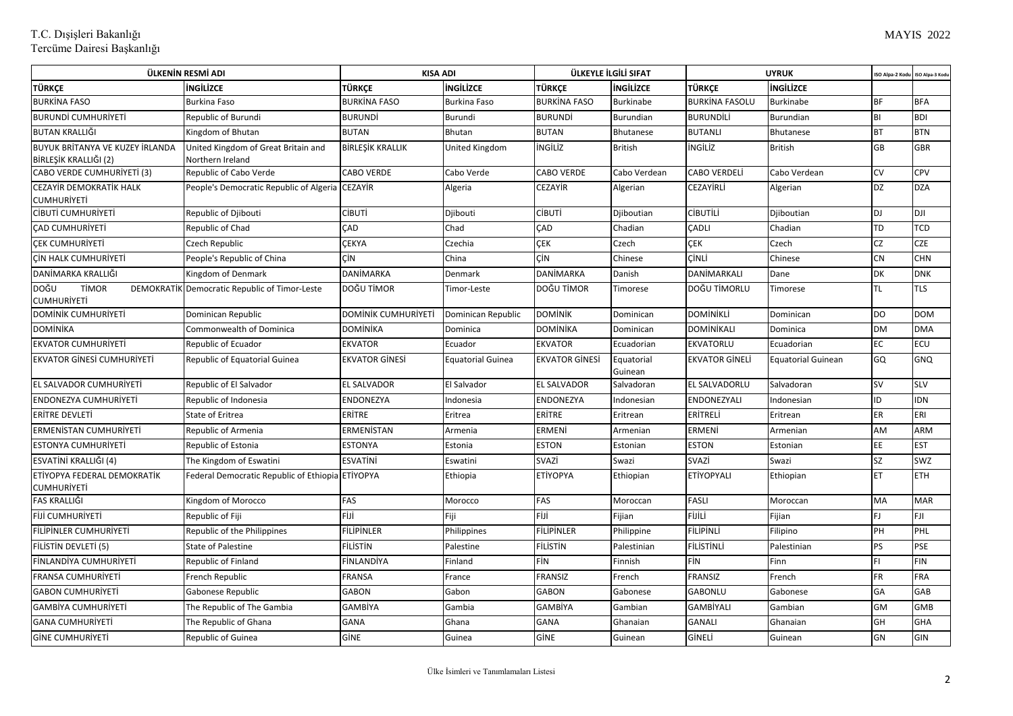| ÜLKENİN RESMİ ADI                                               |                                                         | <b>KISA ADI</b>     |                          | ÜLKEYLE İLGİLİ SIFAT  |                       | <b>UYRUK</b>          |                    | ISO Alpa-2 Kod | ISO Alpa-3 Kod |
|-----------------------------------------------------------------|---------------------------------------------------------|---------------------|--------------------------|-----------------------|-----------------------|-----------------------|--------------------|----------------|----------------|
| TÜRKÇE                                                          | <b>INGILIZCE</b>                                        | TÜRKCE              | <b>ingilizce</b>         | TÜRKÇE                | ingilizce             | TÜRKÇE                | ingilizce          |                |                |
| <b>BURKINA FASO</b>                                             | Burkina Faso                                            | <b>BURKİNA FASO</b> | <b>Burkina Faso</b>      | <b>BURKINA FASO</b>   | <b>Burkinabe</b>      | <b>BURKINA FASOLU</b> | <b>Burkinabe</b>   | <b>BF</b>      | <b>BFA</b>     |
| <b>BURUNDİ CUMHURİYETİ</b>                                      | Republic of Burundi                                     | BURUNDİ             | Burundi                  | <b>BURUNDİ</b>        | Burundian             | <b>BURUNDİLİ</b>      | Burundian          | BI             | <b>BDI</b>     |
| BUTAN KRALLIĞI                                                  | Kingdom of Bhutan                                       | <b>BUTAN</b>        | Bhutan                   | <b>BUTAN</b>          | Bhutanese             | <b>BUTANLI</b>        | <b>Bhutanese</b>   | <b>BT</b>      | <b>BTN</b>     |
| <b>BUYUK BRİTANYA VE KUZEY İRLANDA</b><br>BİRLEŞİK KRALLIĞI (2) | United Kingdom of Great Britain and<br>Northern Ireland | BİRLEŞİK KRALLIK    | United Kingdom           | ingiliz               | <b>British</b>        | <b>ingiliz</b>        | <b>British</b>     | GB             | <b>GBR</b>     |
| CABO VERDE CUMHURİYETİ (3)                                      | Republic of Cabo Verde                                  | <b>CABO VERDE</b>   | Cabo Verde               | <b>CABO VERDE</b>     | Cabo Verdean          | CABO VERDELİ          | Cabo Verdean       | CV             | <b>CPV</b>     |
| CEZAYİR DEMOKRATİK HALK<br><b>CUMHURİYETİ</b>                   | People's Democratic Republic of Algeria CEZAYIR         |                     | Algeria                  | CEZAYİR               | Algerian              | CEZAYİRLİ             | Algerian           | DZ             | <b>DZA</b>     |
| CIBUTI CUMHURIYETI                                              | Republic of Djibouti                                    | CÍBUTÍ              | Djibouti                 | CİBUTİ                | Djiboutian            | CİBUTİLİ              | Djiboutian         | <b>DJ</b>      | <b>DJI</b>     |
| <b>CAD CUMHURIYETI</b>                                          | Republic of Chad                                        | ÇAD                 | Chad                     | CAD                   | Chadian               | CADLI                 | Chadian            | TD             | TCD            |
| <b>CEK CUMHURIYETI</b>                                          | Czech Republic                                          | <b>CEKYA</b>        | Czechia                  | <b>CEK</b>            | Czech                 | ÇEK                   | Czech              | <b>CZ</b>      | <b>CZE</b>     |
| CIN HALK CUMHURIYETI                                            | People's Republic of China                              | ÇİΝ                 | China                    | CİN                   | Chinese               | CİNLİ                 | Chinese            | <b>CN</b>      | <b>CHN</b>     |
| DANİMARKA KRALLIĞI                                              | Kingdom of Denmark                                      | DANİMARKA           | Denmark                  | DANİMARKA             | Danish                | DANİMARKALI           | Dane               | DK             | <b>DNK</b>     |
| DOĞU<br><b>TİMOR</b><br><b>CUMHURİYETİ</b>                      | DEMOKRATIK Democratic Republic of Timor-Leste           | DOĞU TİMOR          | Timor-Leste              | DOĞU TİMOR            | Timorese              | DOĞU TİMORLU          | Timorese           | TL             | <b>TLS</b>     |
| DOMİNİK CUMHURİYETİ                                             | Dominican Republic                                      | DOMİNİK CUMHURİYETİ | Dominican Republic       | <b>DOMINIK</b>        | Dominican             | DOMİNİKLİ             | Dominican          | <b>DO</b>      | <b>DOM</b>     |
| DOMÍNÍKA                                                        | Commonwealth of Dominica                                | DOMİNİKA            | Dominica                 | DOMİNİKA              | Dominican             | DOMİNİKALI            | Dominica           | <b>DM</b>      | <b>DMA</b>     |
| <b>EKVATOR CUMHURİYETİ</b>                                      | Republic of Ecuador                                     | <b>EKVATOR</b>      | Ecuador                  | <b>EKVATOR</b>        | Ecuadorian            | EKVATORLU             | Ecuadorian         | EC             | <b>ECU</b>     |
| EKVATOR GİNESİ CUMHURİYETİ                                      | Republic of Equatorial Guinea                           | EKVATOR GİNESİ      | <b>Equatorial Guinea</b> | <b>EKVATOR GINESI</b> | Equatorial<br>Guinean | <b>EKVATOR GINELI</b> | Equatorial Guinean | GQ             | <b>GNQ</b>     |
| EL SALVADOR CUMHURIYETI                                         | Republic of El Salvador                                 | <b>EL SALVADOR</b>  | El Salvador              | <b>EL SALVADOR</b>    | Salvadoran            | EL SALVADORLU         | Salvadoran         | <b>SV</b>      | <b>SLV</b>     |
| <b>ENDONEZYA CUMHURIYETİ</b>                                    | Republic of Indonesia                                   | ENDONEZYA           | Indonesia                | <b>ENDONEZYA</b>      | Indonesian            | ENDONEZYALI           | Indonesian         | ID             | <b>IDN</b>     |
| <b>ERITRE DEVLETI</b>                                           | State of Eritrea                                        | ERİTRE              | Eritrea                  | ERİTRE                | Eritrean              | ERİTRELİ              | Eritrean           | ER             | ERI            |
| ERMENISTAN CUMHURIYETI                                          | Republic of Armenia                                     | ERMENİSTAN          | Armenia                  | ERMENİ                | Armenian              | ERMENİ                | Armenian           | AM             | <b>ARM</b>     |
| <b>ESTONYA CUMHURİYETİ</b>                                      | Republic of Estonia                                     | <b>ESTONYA</b>      | Estonia                  | <b>ESTON</b>          | Estonian              | ESTON                 | Estonian           | EE             | <b>EST</b>     |
| ESVATİNİ KRALLIĞI (4)                                           | The Kingdom of Eswatini                                 | ESVATİNİ            | Eswatini                 | SVAZİ                 | Swazi                 | SVAZİ                 | Swazi              | <b>SZ</b>      | <b>SWZ</b>     |
| ETİYOPYA FEDERAL DEMOKRATİK<br><b>CUMHURİYETİ</b>               | Federal Democratic Republic of Ethiopia ETİYOPYA        |                     | Ethiopia                 | <b>ETİYOPYA</b>       | Ethiopian             | ETİYOPYALI            | Ethiopian          | ET             | <b>ETH</b>     |
| FAS KRALLIĞI                                                    | Kingdom of Morocco                                      | FAS                 | Morocco                  | FAS                   | Moroccan              | <b>FASLI</b>          | Moroccan           | MA             | <b>MAR</b>     |
| FIJI CUMHURIYETI                                                | Republic of Fiji                                        | FİJİ                | Fiji                     | FİJİ                  | Fijian                | FİJİLİ                | Fijian             | FJ             | <b>FJI</b>     |
| FİLİPİNLER CUMHURİYETİ                                          | Republic of the Philippines                             | FİLİPİNLER          | Philippines              | FİLİPİNLER            | Philippine            | FİLİPİNLİ             | Filipino           | PH             | PHL            |
| FİLİSTİN DEVLETİ (5)                                            | <b>State of Palestine</b>                               | FİLİSTİN            | Palestine                | <b>FILISTIN</b>       | Palestinian           | <b>FILISTINLI</b>     | Palestinian        | <b>PS</b>      | PSE            |
| FİNLANDİYA CUMHURİYETİ                                          | Republic of Finland                                     | FİNLANDİYA          | Finland                  | FİN                   | Finnish               | FİN                   | Finn               | FL             | <b>FIN</b>     |
| <b>FRANSA CUMHURIYETI</b>                                       | French Republic                                         | <b>FRANSA</b>       | France                   | FRANSIZ               | French                | FRANSIZ               | French             | <b>FR</b>      | <b>FRA</b>     |
| <b>GABON CUMHURİYETİ</b>                                        | Gabonese Republic                                       | <b>GABON</b>        | Gabon                    | <b>GABON</b>          | Gabonese              | <b>GABONLU</b>        | Gabonese           | GA             | GAB            |
| <b>GAMBIYA CUMHURIYETI</b>                                      | The Republic of The Gambia                              | GAMBİYA             | Gambia                   | GAMBİYA               | Gambian               | <b>GAMBİYALI</b>      | Gambian            | GM             | <b>GMB</b>     |
| <b>GANA CUMHURIYETI</b>                                         | The Republic of Ghana                                   | GANA                | Ghana                    | GANA                  | Ghanaian              | <b>GANALI</b>         | Ghanaian           | GH             | <b>GHA</b>     |
| <b>GINE CUMHURIYETI</b>                                         | Republic of Guinea                                      | GİNE                | Guinea                   | GİNE                  | Guinean               | GİNELİ                | Guinean            | GN             | GIN            |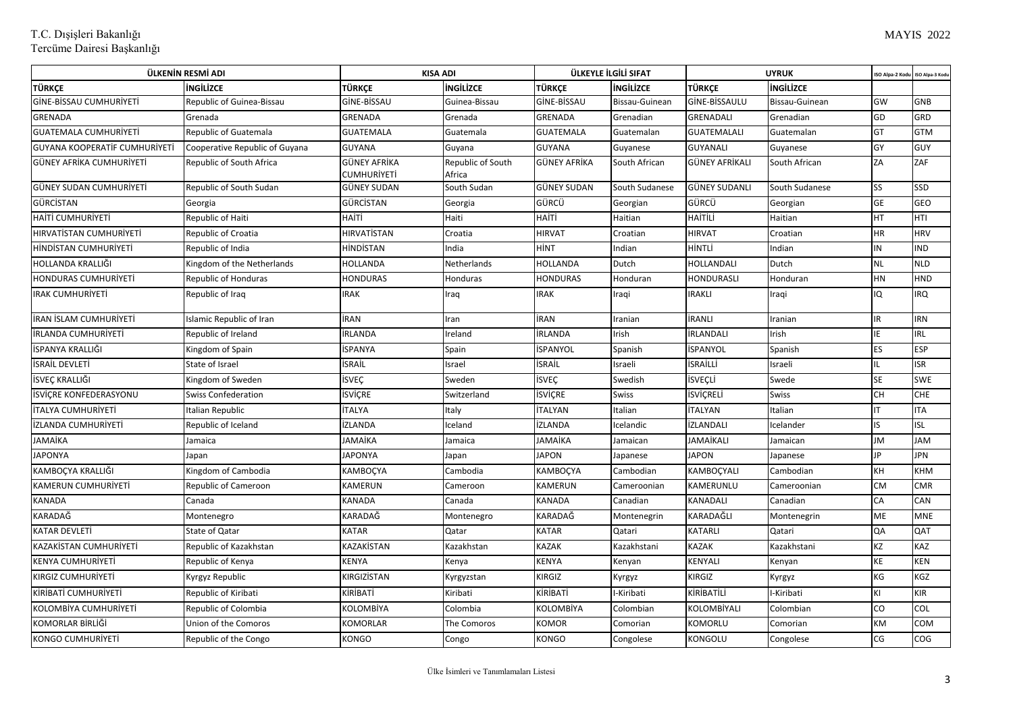| ÜLKENİN RESMİ ADI             |                                |                             | <b>KISA ADI</b>             |                  | ÜLKEYLE İLGİLİ SIFAT |                      | <b>UYRUK</b>     | <b>ISO Alpa-2 Kod</b> | ISO Alpa-3 Kod |
|-------------------------------|--------------------------------|-----------------------------|-----------------------------|------------------|----------------------|----------------------|------------------|-----------------------|----------------|
| TÜRKCE                        | <b>INGILIZCE</b>               | TÜRKCE                      | <b>INGILIZCE</b>            | TÜRKCE           | <b>INGILIZCE</b>     | <b>TÜRKCE</b>        | <b>INGILIZCE</b> |                       |                |
| GİNE-BİSSAU CUMHURİYETİ       | Republic of Guinea-Bissau      | GİNE-BİSSAU                 | Guinea-Bissau               | GİNE-BİSSAU      | Bissau-Guinean       | GİNE-BİSSAULU        | Bissau-Guinean   | GW                    | GNB            |
| GRENADA                       | Grenada                        | GRENADA                     | Grenada                     | GRENADA          | Grenadian            | GRENADALI            | Grenadian        | GD                    | GRD            |
| <b>GUATEMALA CUMHURİYETİ</b>  | <b>Republic of Guatemala</b>   | GUATEMALA                   | Guatemala                   | <b>GUATEMALA</b> | Guatemalan           | GUATEMALALI          | Guatemalan       | GT                    | <b>GTM</b>     |
| GUYANA KOOPERATİF CUMHURİYETİ | Cooperative Republic of Guyana | <b>GUYANA</b>               | Guyana                      | GUYANA           | Guyanese             | <b>GUYANALI</b>      | Guyanese         | GY                    | <b>GUY</b>     |
| GÜNEY AFRİKA CUMHURİYETİ      | Republic of South Africa       | GÜNEY AFRİKA<br>CUMHURİYETİ | Republic of South<br>Africa | GÜNEY AFRİKA     | South African        | GÜNEY AFRİKALI       | South African    | ZA                    | ZAF            |
| GÜNEY SUDAN CUMHURİYETİ       | Republic of South Sudan        | GÜNEY SUDAN                 | South Sudan                 | GÜNEY SUDAN      | South Sudanese       | <b>GÜNEY SUDANLI</b> | South Sudanese   | SS                    | SSD            |
| <b>GÜRCISTAN</b>              | Georgia                        | GÜRCİSTAN                   | Georgia                     | GÜRCÜ            | Georgian             | GÜRCÜ                | Georgian         | GE                    | <b>GEO</b>     |
| <b>HAİTİ CUMHURİYETİ</b>      | Republic of Haiti              | HAİTİ                       | Haiti                       | наіті            | Haitian              | HAİTİLİ              | Haitian          | HT                    | HTI            |
| HIRVATISTAN CUMHURIYETI       | Republic of Croatia            | HIRVATİSTAN                 | Croatia                     | <b>HIRVAT</b>    | Croatian             | <b>HIRVAT</b>        | Croatian         | HR                    | <b>HRV</b>     |
| HINDISTAN CUMHURIYETI         | Republic of India              | HİNDİSTAN                   | India                       | HİNT             | Indian               | HİNTLİ               | Indian           | IN                    | <b>ND</b>      |
| HOLLANDA KRALLIĞI             | Kingdom of the Netherlands     | HOLLANDA                    | Netherlands                 | HOLLANDA         | Dutch                | HOLLANDALI           | Dutch            | <b>NL</b>             | <b>NLD</b>     |
| <b>HONDURAS CUMHURIYETI</b>   | <b>Republic of Honduras</b>    | HONDURAS                    | Honduras                    | <b>HONDURAS</b>  | Honduran             | HONDURASLI           | Honduran         | HN                    | HND            |
| <b>IRAK CUMHURIYETI</b>       | Republic of Iraq               | IRAK                        | Iraq                        | IRAK             | Iraqi                | <b>IRAKLI</b>        | Iraqi            | IQ                    | <b>RQ</b>      |
| İRAN İSLAM CUMHURİYETİ        | slamic Republic of Iran        | İRAN                        | Iran                        | İRAN             | Iranian              | İRANLI               | Iranian          | IR.                   | <b>RN</b>      |
| İRLANDA CUMHURİYETİ           | Republic of Ireland            | İRLANDA                     | Ireland                     | İRLANDA          | Irish                | İRLANDALI            | Irish            | IE.                   | IRL            |
| İSPANYA KRALLIĞI              | Kingdom of Spain               | İSPANYA                     | Spain                       | İSPANYOL         | Spanish              | İSPANYOL             | Spanish          | ES                    | <b>ESP</b>     |
| <b>İSRAİL DEVLETİ</b>         | State of Israel                | İSRAİL                      | Israel                      | İSRAİL           | Israeli              | İSRAİLLİ             | Israeli          | IL                    | <b>ISR</b>     |
| İSVEÇ KRALLIĞI                | Kingdom of Sweden              | İSVEÇ                       | Sweden                      | <b>İSVEÇ</b>     | Swedish              | İSVEÇLİ              | Swede            | <b>SE</b>             | <b>SWE</b>     |
| <b>ISVICRE KONFEDERASYONU</b> | <b>Swiss Confederation</b>     | <b>İSVİÇRE</b>              | Switzerland                 | İSVİÇRE          | Swiss                | İSVİÇRELİ            | <b>Swiss</b>     | CH                    | <b>CHE</b>     |
| <b>İTALYA CUMHURİYETİ</b>     | Italian Republic               | İTALYA                      | Italy                       | İTALYAN          | Italian              | İTALYAN              | Italian          | IT                    | <b>ITA</b>     |
| <b>İZLANDA CUMHURİYETİ</b>    | Republic of Iceland            | İZLANDA                     | Iceland                     | İZLANDA          | Icelandic            | İZLANDALI            | Icelander        | IS.                   | <b>ISL</b>     |
| JAMAİKA                       | Jamaica                        | JAMAİKA                     | Jamaica                     | JAMAİKA          | Jamaican             | <b>JAMAİKALI</b>     | Jamaican         | JM                    | JAM            |
| <b>JAPONYA</b>                | lapan                          | <b>JAPONYA</b>              | Japan                       | <b>JAPON</b>     | Japanese             | <b>JAPON</b>         | Japanese         | JP                    | <b>JPN</b>     |
| KAMBOÇYA KRALLIĞI             | Kingdom of Cambodia            | KAMBOÇYA                    | Cambodia                    | KAMBOÇYA         | Cambodian            | KAMBOÇYALI           | Cambodian        | KH                    | KHM            |
| <b>KAMERUN CUMHURİYETİ</b>    | Republic of Cameroon           | KAMERUN                     | Cameroon                    | KAMERUN          | Cameroonian          | KAMERUNLU            | Cameroonian      | <b>CM</b>             | <b>CMR</b>     |
| <b>KANADA</b>                 | Canada                         | KANADA                      | Canada                      | KANADA           | Canadian             | KANADALI             | Canadian         | CA                    | CAN            |
| KARADAĞ                       | Montenegro                     | KARADAĞ                     | Montenegro                  | KARADAĞ          | Montenegrin          | KARADAĞLI            | Montenegrin      | ME                    | <b>MNE</b>     |
| <b>KATAR DEVLETI</b>          | State of Qatar                 | <b>KATAR</b>                | Qatar                       | <b>KATAR</b>     | Qatari               | KATARLI              | Qatari           | QA                    | QAT            |
| KAZAKİSTAN CUMHURİYETİ        | Republic of Kazakhstan         | KAZAKİSTAN                  | Kazakhstan                  | KAZAK            | Kazakhstani          | KAZAK                | Kazakhstani      | ΚZ                    | KAZ            |
| <b>KENYA CUMHURIYETI</b>      | Republic of Kenya              | KENYA                       | Kenya                       | <b>KENYA</b>     | Kenyan               | KENYALI              | Kenyan           | KE                    | KEN            |
| KIRGIZ CUMHURİYETİ            | Kyrgyz Republic                | KIRGIZİSTAN                 | Kyrgyzstan                  | KIRGIZ           | Kyrgyz               | KIRGIZ               | Kyrgyz           | KG                    | KGZ            |
| KİRİBATİ CUMHURİYETİ          | Republic of Kiribati           | KİRİBATİ                    | Kiribati                    | KİRİBATİ         | I-Kiribati           | KİRİBATİLİ           | I-Kiribati       | KI                    | KIR            |
| KOLOMBİYA CUMHURİYETİ         | Republic of Colombia           | KOLOMBİYA                   | Colombia                    | KOLOMBİYA        | Colombian            | KOLOMBİYALI          | Colombian        | CO                    | COL            |
| KOMORLAR BİRLİĞİ              | Union of the Comoros           | KOMORLAR                    | The Comoros                 | KOMOR            | Comorian             | KOMORLU              | Comorian         | KM                    | COM            |
| KONGO CUMHURIYETI             | Republic of the Congo          | KONGO                       | Congo                       | KONGO            | Congolese            | KONGOLU              | Congolese        | CG                    | COG            |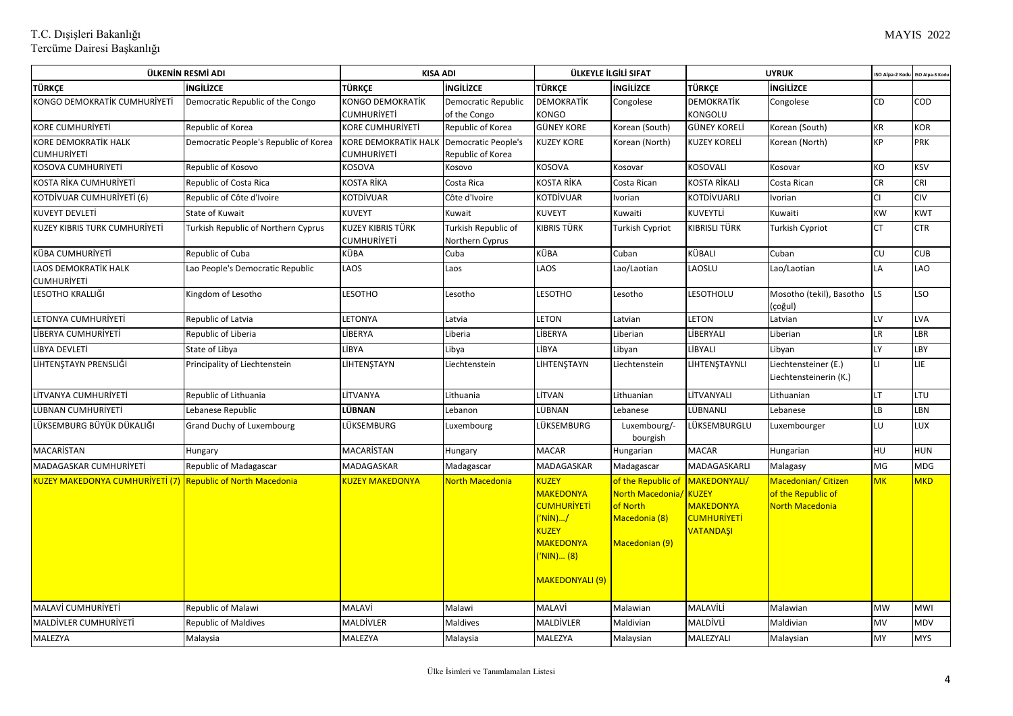| ÜLKENİN RESMİ ADI                                                  |                                       | <b>KISA ADI</b>                     |                                                 | ÜLKEYLE İLGİLİ SIFAT                                                                                                                          |                                                                                       | <b>UYRUK</b>                                                                              |                                                              | ISO Alpa-2 Kod | ISO Alpa-3 Kod |
|--------------------------------------------------------------------|---------------------------------------|-------------------------------------|-------------------------------------------------|-----------------------------------------------------------------------------------------------------------------------------------------------|---------------------------------------------------------------------------------------|-------------------------------------------------------------------------------------------|--------------------------------------------------------------|----------------|----------------|
| <b>TÜRKCE</b>                                                      | <b>İNGİLİZCE</b>                      | <b>TÜRKCE</b>                       | <b>INGILIZCE</b>                                | TÜRKCE                                                                                                                                        | <b>INGILIZCE</b>                                                                      | <b>TÜRKÇE</b>                                                                             | <b>INGILIZCE</b>                                             |                |                |
| KONGO DEMOKRATİK CUMHURİYETİ                                       | Democratic Republic of the Congo      | <b>KONGO DEMOKRATİK</b>             | Democratic Republic                             | <b>DEMOKRATİK</b>                                                                                                                             | Congolese                                                                             | <b>DEMOKRATİK</b>                                                                         | Congolese                                                    | CD             | COD            |
|                                                                    |                                       | CUMHURİYETİ                         | of the Congo                                    | KONGO                                                                                                                                         |                                                                                       | KONGOLU                                                                                   |                                                              |                |                |
| KORE CUMHURİYETİ                                                   | Republic of Korea                     | <b>KORE CUMHURİYETİ</b>             | Republic of Korea                               | <b>GÜNEY KORE</b>                                                                                                                             | Korean (South)                                                                        | <b>GÜNEY KORELİ</b>                                                                       | Korean (South)                                               | KR             | KOR            |
| KORE DEMOKRATİK HALK<br>CUMHURİYETİ                                | Democratic People's Republic of Korea | KORE DEMOKRATİK HALK<br>CUMHURİYETİ | <b>Democratic People's</b><br>Republic of Korea | <b>KUZEY KORE</b>                                                                                                                             | Korean (North)                                                                        | <b>KUZEY KORELİ</b>                                                                       | Korean (North)                                               | <b>KP</b>      | <b>PRK</b>     |
| <b>KOSOVA CUMHURİYETİ</b>                                          | Republic of Kosovo                    | <b>KOSOVA</b>                       | Kosovo                                          | KOSOVA                                                                                                                                        | Kosovar                                                                               | KOSOVALI                                                                                  | Kosovar                                                      | KO             | KSV            |
| KOSTA RİKA CUMHURİYETİ                                             | Republic of Costa Rica                | KOSTA RİKA                          | Costa Rica                                      | <b>KOSTA RİKA</b>                                                                                                                             | Costa Rican                                                                           | <b>KOSTA RİKALI</b>                                                                       | Costa Rican                                                  | <b>CR</b>      | <b>CRI</b>     |
| KOTDİVUAR CUMHURİYETİ (6)                                          | Republic of Côte d'Ivoire             | KOTDİVUAR                           | Côte d'Ivoire                                   | KOTDİVUAR                                                                                                                                     | Ivorian                                                                               | KOTDİVUARLI                                                                               | Ivorian                                                      | <b>CI</b>      | <b>CIV</b>     |
| <b>KUVEYT DEVLETİ</b>                                              | State of Kuwait                       | <b>KUVEYT</b>                       | Kuwait                                          | <b>KUVEYT</b>                                                                                                                                 | Kuwaiti                                                                               | KUVEYTLİ                                                                                  | Kuwaiti                                                      | KW             | KWT            |
| KUZEY KIBRIS TURK CUMHURİYETİ                                      | Turkish Republic of Northern Cyprus   | KUZEY KIBRIS TÜRK<br>CUMHURİYETİ    | Turkish Republic of<br>Northern Cyprus          | <b>KIBRIS TÜRK</b>                                                                                                                            | <b>Turkish Cypriot</b>                                                                | KIBRISLI TÜRK                                                                             | Turkish Cypriot                                              | <b>CT</b>      | <b>CTR</b>     |
| KÜBA CUMHURİYETİ                                                   | Republic of Cuba                      | KÜBA                                | Cuba                                            | KÜBA                                                                                                                                          | Cuban                                                                                 | KÜBALI                                                                                    | Cuban                                                        | CU             | CUB.           |
| LAOS DEMOKRATİK HALK<br>CUMHURİYETİ                                | Lao People's Democratic Republic      | LAOS                                | Laos                                            | LAOS                                                                                                                                          | Lao/Laotian                                                                           | LAOSLU                                                                                    | Lao/Laotian                                                  | LA             | LAO            |
| LESOTHO KRALLIĞI                                                   | Kingdom of Lesotho                    | <b>LESOTHO</b>                      | Lesotho                                         | <b>LESOTHO</b>                                                                                                                                | Lesotho                                                                               | LESOTHOLU                                                                                 | Mosotho (tekil), Basotho<br>(çoğul)                          | LS             | LSO            |
| LETONYA CUMHURİYETİ                                                | Republic of Latvia                    | LETONYA                             | Latvia                                          | <b>LETON</b>                                                                                                                                  | Latvian                                                                               | <b>LETON</b>                                                                              | Latvian                                                      | LV             | LVA            |
| LİBERYA CUMHURİYETİ                                                | Republic of Liberia                   | LİBERYA                             | Liberia                                         | LİBERYA                                                                                                                                       | Liberian                                                                              | LİBERYALI                                                                                 | .iberian                                                     | <b>LR</b>      | LBR            |
| LİBYA DEVLETİ                                                      | State of Libya                        | LİBYA                               | Libya                                           | LİBYA                                                                                                                                         | Libyan                                                                                | LİBYALI                                                                                   | Libyan                                                       | LY             | LBY            |
| LİHTENŞTAYN PRENSLİĞİ                                              | Principality of Liechtenstein         | LİHTENSTAYN                         | Liechtenstein                                   | LİHTENSTAYN                                                                                                                                   | Liechtenstein                                                                         | LİHTENŞTAYNLI                                                                             | Liechtensteiner (E.)<br>Liechtensteinerin (K.)               | Ħ              | LIE            |
| LİTVANYA CUMHURİYETİ                                               | Republic of Lithuania                 | LİTVANYA                            | Lithuania                                       | LİTVAN                                                                                                                                        | Lithuanian                                                                            | LİTVANYALI                                                                                | Lithuanian                                                   | LT             | LTU            |
| LÜBNAN CUMHURİYETİ                                                 | Lebanese Republic                     | LÜBNAN                              | Lebanon                                         | LÜBNAN                                                                                                                                        | Lebanese                                                                              | LÜBNANLI                                                                                  | Lebanese                                                     | LB             | LBN            |
| LÜKSEMBURG BÜYÜK DÜKALIĞI                                          | Grand Duchy of Luxembourg             | LÜKSEMBURG                          | Luxembourg                                      | LÜKSEMBURG                                                                                                                                    | Luxembourg/-<br>bourgish                                                              | LÜKSEMBURGLU                                                                              | Luxembourger                                                 | LU             | LUX            |
| MACARISTAN                                                         | Hungary                               | MACARISTAN                          | Hungary                                         | <b>MACAR</b>                                                                                                                                  | Hungarian                                                                             | <b>MACAR</b>                                                                              | Hungarian                                                    | HU             | HUN            |
| MADAGASKAR CUMHURİYETİ                                             | Republic of Madagascar                | MADAGASKAR                          | Madagascar                                      | MADAGASKAR                                                                                                                                    | Madagascar                                                                            | MADAGASKARLI                                                                              | Malagasy                                                     | <b>MG</b>      | <b>MDG</b>     |
| <b>KUZEY MAKEDONYA CUMHURIYETI (7) Republic of North Macedonia</b> |                                       | KUZEY MAKEDONYA                     | North Macedonia                                 | <b>KUZEY</b><br><b>MAKEDONYA</b><br><b>CUMHURİYETİ</b><br>('NİN)/<br><b>KUZEY</b><br><b>MAKEDONYA</b><br>('NIN) (8)<br><b>MAKEDONYALI (9)</b> | of the Republic of<br>North Macedonia/<br>of North<br>Macedonia (8)<br>Macedonian (9) | MAKEDONYALI/<br>KUZEY<br><b>MAKEDONYA</b><br><mark>CUMHURİYETİ</mark><br><b>VATANDAŞI</b> | Macedonian/ Citizen<br>of the Republic of<br>North Macedonia | <b>MK</b>      | <b>MKD</b>     |
| <b>MALAVİ CUMHURİYETİ</b>                                          | <b>Republic of Malawi</b>             | <b>MALAVİ</b>                       | Malawi                                          | <b>MALAVİ</b>                                                                                                                                 | Malawian                                                                              | <b>MALAVİLİ</b>                                                                           | Malawian                                                     | <b>MW</b>      | MWI            |
| <b>MALDİVLER CUMHURİYETİ</b>                                       | <b>Republic of Maldives</b>           | MALDİVLER                           | Maldives                                        | MALDİVLER                                                                                                                                     | Maldivian                                                                             | MALDİVLİ                                                                                  | Maldivian                                                    | <b>MV</b>      | MDV            |
| MALEZYA                                                            | Malaysia                              | MALEZYA                             | Malaysia                                        | MALEZYA                                                                                                                                       | Malaysian                                                                             | MALEZYALI                                                                                 | Malaysian                                                    | MY             | <b>MYS</b>     |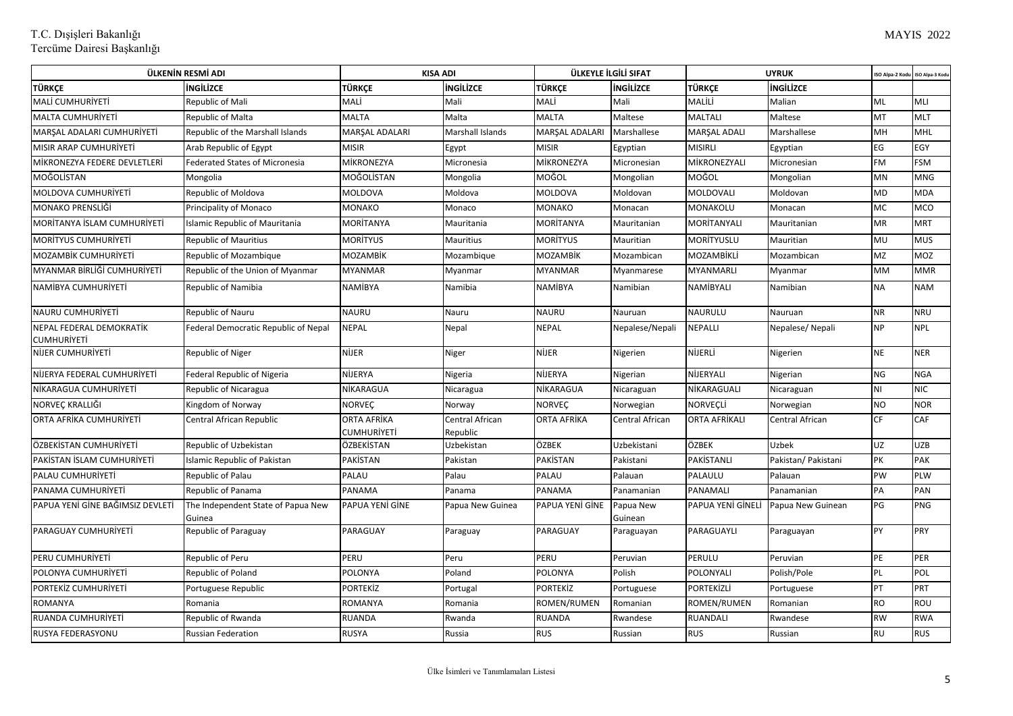| ÜLKENİN RESMİ ADI                              |                                              | <b>KISA ADI</b>                   |                             | ÜLKEYLE İLGİLİ SIFAT |                        | <b>UYRUK</b>      |                     | ISO Alpa-2 Kod | ISO Alpa-3 Kod |
|------------------------------------------------|----------------------------------------------|-----------------------------------|-----------------------------|----------------------|------------------------|-------------------|---------------------|----------------|----------------|
| TÜRKÇE                                         | <b>INGILIZCE</b>                             | <b>TÜRKCE</b>                     | <b>INGILIZCE</b>            | <b>TÜRKCE</b>        | <b>INGILIZCE</b>       | <b>TÜRKÇE</b>     | <b>İNGİLİZCE</b>    |                |                |
| <b>MALİ CUMHURİYETİ</b>                        | Republic of Mali                             | MALİ                              | Mali                        | MALİ                 | Mali                   | MALİLİ            | Malian              | ML             | MLI            |
| <b>MALTA CUMHURIYETI</b>                       | Republic of Malta                            | <b>MALTA</b>                      | Malta                       | <b>MALTA</b>         | Maltese                | <b>MALTALI</b>    | Maltese             | MT             | MLT            |
| MARŞAL ADALARI CUMHURİYETİ                     | Republic of the Marshall Islands             | MARŞAL ADALARI                    | Marshall Islands            | MARŞAL ADALARI       | Marshallese            | MARŞAL ADALI      | Marshallese         | MH             | MHL            |
| MISIR ARAP CUMHURIYETİ                         | Arab Republic of Egypt                       | <b>MISIR</b>                      | Egypt                       | <b>MISIR</b>         | Egyptian               | MISIRLI           | Egyptian            | EG             | EGY            |
| MİKRONEZYA FEDERE DEVLETLERİ                   | <b>Federated States of Micronesia</b>        | MİKRONEZYA                        | Micronesia                  | MİKRONEZYA           | Micronesian            | MİKRONEZYALI      | Micronesian         | <b>FM</b>      | <b>FSM</b>     |
| MOĞOLİSTAN                                     | Mongolia                                     | MOĞOLİSTAN                        | Mongolia                    | MOĞOL                | Mongolian              | MOĞOL             | Mongolian           | MN             | MNG            |
| MOLDOVA CUMHURİYETİ                            | Republic of Moldova                          | MOLDOVA                           | Moldova                     | MOLDOVA              | Moldovan               | MOLDOVALI         | Moldovan            | MD             | MDA            |
| MONAKO PRENSLİĞİ                               | Principality of Monaco                       | <b>MONAKO</b>                     | Monaco                      | <b>MONAKO</b>        | Monacan                | MONAKOLU          | Monacan             | МC             | MCO            |
| MORITANYA İSLAM CUMHURİYETİ                    | Islamic Republic of Mauritania               | <b>MORITANYA</b>                  | Mauritania                  | MORİTANYA            | Mauritanian            | MORITANYALI       | Mauritanian         | <b>MR</b>      | <b>MRT</b>     |
| <b>MORITYUS CUMHURIYETI</b>                    | <b>Republic of Mauritius</b>                 | <b>MORITYUS</b>                   | Mauritius                   | <b>MORITYUS</b>      | Mauritian              | MORİTYUSLU        | Mauritian           | MU             | <b>MUS</b>     |
| MOZAMBIK CUMHURİYETİ                           | Republic of Mozambique                       | <b>MOZAMBİK</b>                   | Mozambique                  | <b>MOZAMBİK</b>      | Mozambican             | MOZAMBİKLİ        | Mozambican          | MZ             | MOZ            |
| MYANMAR BİRLİĞİ CUMHURİYETİ                    | Republic of the Union of Myanmar             | <b>MYANMAR</b>                    | Myanmar                     | <b>MYANMAR</b>       | Myanmarese             | MYANMARLI         | Myanmar             | MM             | <b>MMR</b>     |
| NAMİBYA CUMHURİYETİ                            | Republic of Namibia                          | <b>NAMIBYA</b>                    | Namibia                     | <b>NAMİBYA</b>       | Namibian               | NAMİBYALI         | Namibian            | <b>NA</b>      | <b>NAM</b>     |
| <b>NAURU CUMHURİYETİ</b>                       | <b>Republic of Nauru</b>                     | <b>NAURU</b>                      | Nauru                       | <b>NAURU</b>         | Nauruan                | <b>NAURULU</b>    | Nauruan             | <b>NR</b>      | <b>NRU</b>     |
| NEPAL FEDERAL DEMOKRATIK<br><b>CUMHURIYETI</b> | Federal Democratic Republic of Nepal         | <b>NEPAL</b>                      | Nepal                       | <b>NEPAL</b>         | Nepalese/Nepali        | NEPALLI           | Nepalese/Nepali     | <b>NP</b>      | <b>NPL</b>     |
| <b>NİJER CUMHURİYETİ</b>                       | Republic of Niger                            | <b>NIJER</b>                      | Niger                       | <b>NİJER</b>         | Nigerien               | NİJERLİ           | Nigerien            | <b>NE</b>      | <b>NER</b>     |
| NİJERYA FEDERAL CUMHURİYETİ                    | <b>Federal Republic of Nigeria</b>           | <b>NİJERYA</b>                    | Nigeria                     | NİJERYA              | Nigerian               | NİJERYALI         | Nigerian            | <b>NG</b>      | <b>NGA</b>     |
| NİKARAGUA CUMHURİYETİ                          | Republic of Nicaragua                        | NİKARAGUA                         | Nicaragua                   | NİKARAGUA            | Nicaraguan             | NİKARAGUALI       | Nicaraguan          | NI             | <b>NIC</b>     |
| NORVEÇ KRALLIĞI                                | Kingdom of Norway                            | <b>NORVEÇ</b>                     | Norway                      | <b>NORVEÇ</b>        | Norwegian              | NORVEÇLİ          | Norwegian           | <b>NO</b>      | <b>NOR</b>     |
| ORTA AFRİKA CUMHURİYETİ                        | Central African Republic                     | <b>ORTA AFRİKA</b><br>CUMHURİYETİ | Central African<br>Republic | ORTA AFRİKA          | <b>Central African</b> | ORTA AFRİKALI     | Central African     | <b>CF</b>      | CAF            |
| ÖZBEKİSTAN CUMHURİYETİ                         | Republic of Uzbekistan                       | ÖZBEKİSTAN                        | Uzbekistan                  | ÖZBEK                | Uzbekistani            | ÖZBEK             | <b>Uzbek</b>        | <b>UZ</b>      | <b>UZB</b>     |
| PAKISTAN ISLAM CUMHURIYETI                     | <b>Islamic Republic of Pakistan</b>          | <b>PAKISTAN</b>                   | Pakistan                    | PAKİSTAN             | Pakistani              | PAKİSTANLI        | Pakistan/ Pakistani | PK             | PAK            |
| PALAU CUMHURİYETİ                              | Republic of Palau                            | <b>PALAU</b>                      | Palau                       | PALAU                | Palauan                | PALAULU           | Palauan             | PW             | PLW            |
| PANAMA CUMHURIYETI                             | Republic of Panama                           | <b>PANAMA</b>                     | Panama                      | <b>PANAMA</b>        | Panamanian             | PANAMALI          | Panamanian          | PA             | PAN            |
| PAPUA YENİ GİNE BAĞIMSIZ DEVLETİ               | The Independent State of Papua New<br>Guinea | PAPUA YENİ GİNE                   | Papua New Guinea            | PAPUA YENİ GİNE      | Papua New<br>Guinean   | PAPUA YENİ GİNELİ | Papua New Guinean   | PG             | PNG            |
| PARAGUAY CUMHURİYETİ                           | Republic of Paraguay                         | PARAGUAY                          | Paraguay                    | PARAGUAY             | Paraguayan             | PARAGUAYLI        | Paraguayan          | PY             | PRY            |
| PERU CUMHURİYETİ                               | Republic of Peru                             | PERU                              | Peru                        | PERU                 | Peruvian               | PERULU            | Peruvian            | PE             | PER            |
| POLONYA CUMHURİYETİ                            | Republic of Poland                           | <b>POLONYA</b>                    | Poland                      | POLONYA              | Polish                 | POLONYALI         | Polish/Pole         | <b>PL</b>      | POL            |
| PORTEKİZ CUMHURİYETİ                           | Portuguese Republic                          | <b>PORTEKIZ</b>                   | Portugal                    | <b>PORTEKİZ</b>      | Portuguese             | PORTEKİZLİ        | Portuguese          | PT             | PRT            |
| <b>ROMANYA</b>                                 | Romania                                      | <b>ROMANYA</b>                    | Romania                     | ROMEN/RUMEN          | Romanian               | ROMEN/RUMEN       | Romanian            | <b>RO</b>      | ROU            |
| RUANDA CUMHURİYETİ                             | Republic of Rwanda                           | <b>RUANDA</b>                     | Rwanda                      | RUANDA               | Rwandese               | RUANDALI          | Rwandese            | <b>RW</b>      | <b>RWA</b>     |
| RUSYA FEDERASYONU                              | <b>Russian Federation</b>                    | <b>RUSYA</b>                      | Russia                      | <b>RUS</b>           | Russian                | <b>RUS</b>        | Russian             | <b>RU</b>      | RUS            |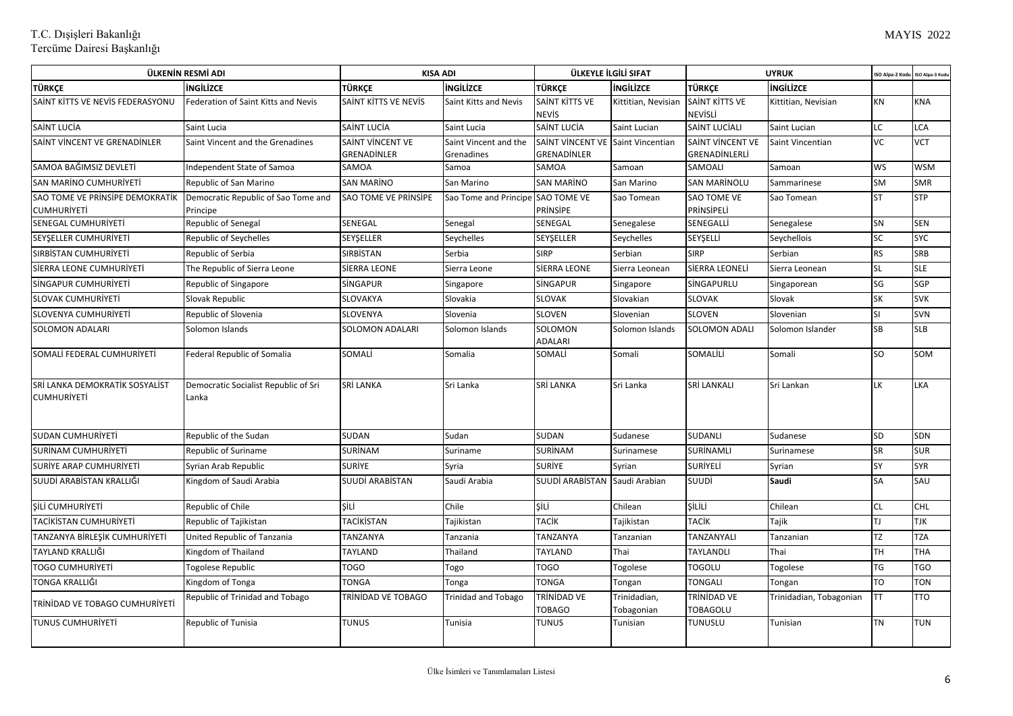| ÜLKENİN RESMİ ADI                                    |                                                 | <b>KISA ADI</b>           |                                   | ÜLKEYLE İLGİLİ SIFAT              |                            | <b>UYRUK</b>              |                         | ISO Alpa-2 Kod | ISO Alpa-3 Kod |
|------------------------------------------------------|-------------------------------------------------|---------------------------|-----------------------------------|-----------------------------------|----------------------------|---------------------------|-------------------------|----------------|----------------|
| <b>TÜRKCE</b>                                        | ingilizce                                       | <b>TÜRKCE</b>             | <b>INGILIZCE</b>                  | <b>TÜRKCE</b>                     | <b>INGILIZCE</b>           | <b>TÜRKCE</b>             | <b>INGILIZCE</b>        |                |                |
| SAINT KITTS VE NEVIS FEDERASYONU                     | Federation of Saint Kitts and Nevis             | SAINT KITTS VE NEVIS      | Saint Kitts and Nevis             | SAİNT KİTTS VE                    | Kittitian, Nevisian        | SAİNT KİTTS VE            | Kittitian, Nevisian     | <b>KN</b>      | <b>KNA</b>     |
|                                                      |                                                 |                           |                                   | <b>NEVIS</b>                      |                            | NEVİSLİ                   |                         |                |                |
| SAİNT LUCİA                                          | Saint Lucia                                     | SAİNT LUCİA               | Saint Lucia                       | SAİNT LUCİA                       | Saint Lucian               | SAİNT LUCİALI             | Saint Lucian            | LC             | LCA            |
| SAINT VINCENT VE GRENADINLER                         | Saint Vincent and the Grenadines                | SAINT VINCENT VE          | Saint Vincent and the             | SAİNT VİNCENT VE Saint Vincentian |                            | SAİNT VİNCENT VE          | Saint Vincentian        | <b>VC</b>      | <b>VCT</b>     |
|                                                      |                                                 | GRENADİNLER               | Grenadines                        | GRENADINLER                       |                            | GRENADINLERLI             |                         |                |                |
| SAMOA BAĞIMSIZ DEVLETİ                               | Independent State of Samoa                      | SAMOA                     | Samoa                             | <b>SAMOA</b>                      | Samoan                     | SAMOALI                   | Samoan                  | <b>WS</b>      | <b>WSM</b>     |
| <b>SAN MARINO CUMHURIYETI</b>                        | Republic of San Marino                          | <b>SAN MARINO</b>         | San Marino                        | <b>SAN MARINO</b>                 | San Marino                 | <b>SAN MARINOLU</b>       | Sammarinese             | <b>SM</b>      | <b>SMR</b>     |
| SAO TOME VE PRINSIPE DEMOKRATIK<br>CUMHURİYETİ       | Democratic Republic of Sao Tome and<br>Principe | SAO TOME VE PRINSIPE      | Sao Tome and Principe SAO TOME VE | PRİNSİPE                          | Sao Tomean                 | SAO TOME VE<br>PRİNSİPELİ | Sao Tomean              | <b>ST</b>      | <b>STP</b>     |
| SENEGAL CUMHURİYETİ                                  | Republic of Senegal                             | SENEGAL                   | Senegal                           | SENEGAL                           | Senegalese                 | SENEGALLİ                 | Senegalese              | SN             | <b>SEN</b>     |
| SEYŞELLER CUMHURİYETİ                                | Republic of Seychelles                          | SEYŞELLER                 | Seychelles                        | SEYŞELLER                         | Seychelles                 | SEYŞELLİ                  | Seychellois             | SC             | <b>SYC</b>     |
| SIRBİSTAN CUMHURİYETİ                                | Republic of Serbia                              | <b>SIRBISTAN</b>          | Serbia                            | <b>SIRP</b>                       | Serbian                    | <b>SIRP</b>               | Serbian                 | <b>RS</b>      | <b>SRB</b>     |
| SIERRA LEONE CUMHURIYETI                             | The Republic of Sierra Leone                    | SİERRA LEONE              | Sierra Leone                      | <b>SİERRA LEONE</b>               | Sierra Leonean             | SİERRA LEONELİ            | Sierra Leonean          | <b>SL</b>      | <b>SLE</b>     |
| SİNGAPUR CUMHURİYETİ                                 | Republic of Singapore                           | SINGAPUR                  | Singapore                         | SİNGAPUR                          | Singapore                  | SİNGAPURLU                | Singaporean             | SG             | SGP            |
| <b>SLOVAK CUMHURİYETİ</b>                            | Slovak Republic                                 | SLOVAKYA                  | Slovakia                          | <b>SLOVAK</b>                     | Slovakian                  | <b>SLOVAK</b>             | Slovak                  | <b>SK</b>      | <b>SVK</b>     |
| SLOVENYA CUMHURİYETİ                                 | Republic of Slovenia                            | SLOVENYA                  | Slovenia                          | <b>SLOVEN</b>                     | Slovenian                  | <b>SLOVEN</b>             | Slovenian               | <b>SI</b>      | <b>SVN</b>     |
| <b>SOLOMON ADALARI</b>                               | Solomon Islands                                 | <b>SOLOMON ADALARI</b>    | Solomon Islands                   | SOLOMON<br><b>ADALARI</b>         | Solomon Islands            | <b>SOLOMON ADALI</b>      | Solomon Islander        | <b>SB</b>      | <b>SLB</b>     |
| SOMALİ FEDERAL CUMHURİYETİ                           | Federal Republic of Somalia                     | SOMALİ                    | Somalia                           | SOMALİ                            | Somali                     | SOMALİLİ                  | Somali                  | <b>SO</b>      | SOM            |
| SRİ LANKA DEMOKRATİK SOSYALİST<br><b>CUMHURIYETİ</b> | Democratic Socialist Republic of Sri<br>Lanka   | SRİ LANKA                 | Sri Lanka                         | <b>SRİ LANKA</b>                  | Sri Lanka                  | SRİ LANKALI               | Sri Lankan              | LK             | LKA            |
| SUDAN CUMHURIYETI                                    | Republic of the Sudan                           | <b>SUDAN</b>              | Sudan                             | <b>SUDAN</b>                      | Sudanese                   | <b>SUDANLI</b>            | Sudanese                | <b>SD</b>      | SDN            |
| SURINAM CUMHURIYETI                                  | Republic of Suriname                            | SURİNAM                   | Suriname                          | <b>SURİNAM</b>                    | Surinamese                 | SURİNAMLI                 | Surinamese              | <b>SR</b>      | <b>SUR</b>     |
| SURIYE ARAP CUMHURIYETI                              | Syrian Arab Republic                            | <b>SURIYE</b>             | Syria                             | <b>SURIYE</b>                     | Syrian                     | <b>SURİYELİ</b>           | Syrian                  | SY             | <b>SYR</b>     |
| SUUDİ ARABİSTAN KRALLIĞI                             | Kingdom of Saudi Arabia                         | SUUDI ARABISTAN           | Saudi Arabia                      | SUUDI ARABISTAN Saudi Arabian     |                            | SUUDİ                     | Saudi                   | <b>SA</b>      | SAU            |
| SİLİ CUMHURİYETİ                                     | Republic of Chile                               | SİLİ                      | Chile                             | <b>ŞİLİ</b>                       | Chilean                    | SİLİLİ                    | Chilean                 | <b>CL</b>      | <b>CHL</b>     |
| <b>TACIKISTAN CUMHURIYETI</b>                        | Republic of Tajikistan                          | <b>TACİKİSTAN</b>         | Tajikistan                        | <b>TACIK</b>                      | Tajikistan                 | <b>TACIK</b>              | Tajik                   | ТJ             | TJK            |
| TANZANYA BİRLEŞİK CUMHURİYETİ                        | United Republic of Tanzania                     | TANZANYA                  | Tanzania                          | TANZANYA                          | Tanzanian                  | TANZANYALI                | Tanzanian               | <b>TZ</b>      | <b>TZA</b>     |
| TAYLAND KRALLIĞI                                     | Kingdom of Thailand                             | TAYLAND                   | Thailand                          | <b>TAYLAND</b>                    | Thai                       | <b>TAYLANDLI</b>          | Thai                    | <b>TH</b>      | <b>THA</b>     |
| <b>TOGO CUMHURİYETİ</b>                              | Togolese Republic                               | <b>TOGO</b>               | Togo                              | <b>TOGO</b>                       | Togolese                   | <b>TOGOLU</b>             | Togolese                | <b>TG</b>      | <b>TGO</b>     |
| TONGA KRALLIĞI                                       | Kingdom of Tonga                                | <b>TONGA</b>              | Tonga                             | <b>TONGA</b>                      | Tongan                     | <b>TONGALI</b>            | Tongan                  | <b>TO</b>      | <b>TON</b>     |
| TRİNİDAD VE TOBAGO CUMHURİYETİ                       | Republic of Trinidad and Tobago                 | <b>TRINIDAD VE TOBAGO</b> | <b>Trinidad and Tobago</b>        | TRİNİDAD VE<br><b>TOBAGO</b>      | Trinidadian,<br>Tobagonian | TRİNİDAD VE<br>TOBAGOLU   | Trinidadian, Tobagonian | TΤ             | <b>TTO</b>     |
| <b>TUNUS CUMHURIYETI</b>                             | Republic of Tunisia                             | <b>TUNUS</b>              | Tunisia                           | <b>TUNUS</b>                      | Tunisian                   | TUNUSLU                   | Tunisian                | <b>TN</b>      | <b>TUN</b>     |